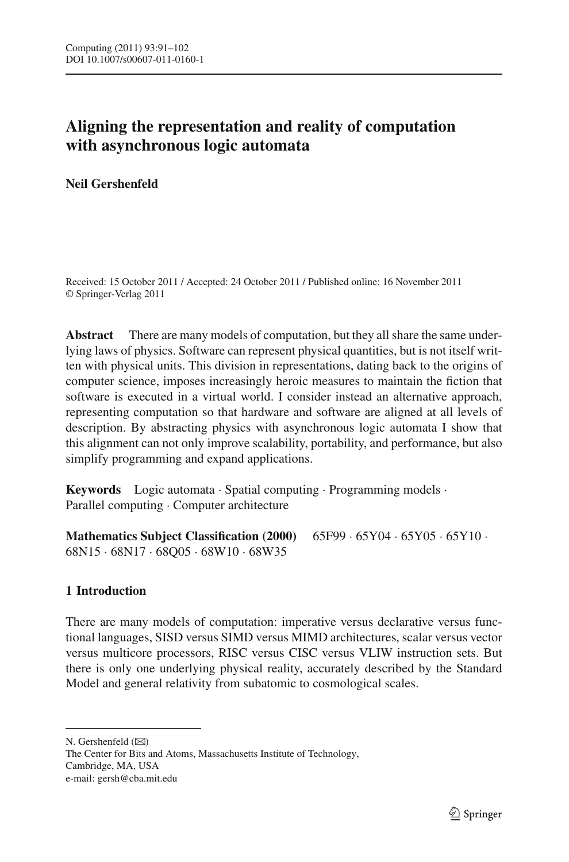# **Aligning the representation and reality of computation with asynchronous logic automata**

**Neil Gershenfeld**

Received: 15 October 2011 / Accepted: 24 October 2011 / Published online: 16 November 2011 © Springer-Verlag 2011

**Abstract** There are many models of computation, but they all share the same underlying laws of physics. Software can represent physical quantities, but is not itself written with physical units. This division in representations, dating back to the origins of computer science, imposes increasingly heroic measures to maintain the fiction that software is executed in a virtual world. I consider instead an alternative approach, representing computation so that hardware and software are aligned at all levels of description. By abstracting physics with asynchronous logic automata I show that this alignment can not only improve scalability, portability, and performance, but also simplify programming and expand applications.

**Keywords** Logic automata · Spatial computing · Programming models · Parallel computing · Computer architecture

**Mathematics Subject Classification (2000)** 65F99 · 65Y04 · 65Y05 · 65Y10 · 68N15 · 68N17 · 68Q05 · 68W10 · 68W35

## **1 Introduction**

There are many models of computation: imperative versus declarative versus functional languages, SISD versus SIMD versus MIMD architectures, scalar versus vector versus multicore processors, RISC versus CISC versus VLIW instruction sets. But there is only one underlying physical reality, accurately described by the Standard Model and general relativity from subatomic to cosmological scales.

N. Gershenfeld  $(\boxtimes)$ 

The Center for Bits and Atoms, Massachusetts Institute of Technology, Cambridge, MA, USA e-mail: gersh@cba.mit.edu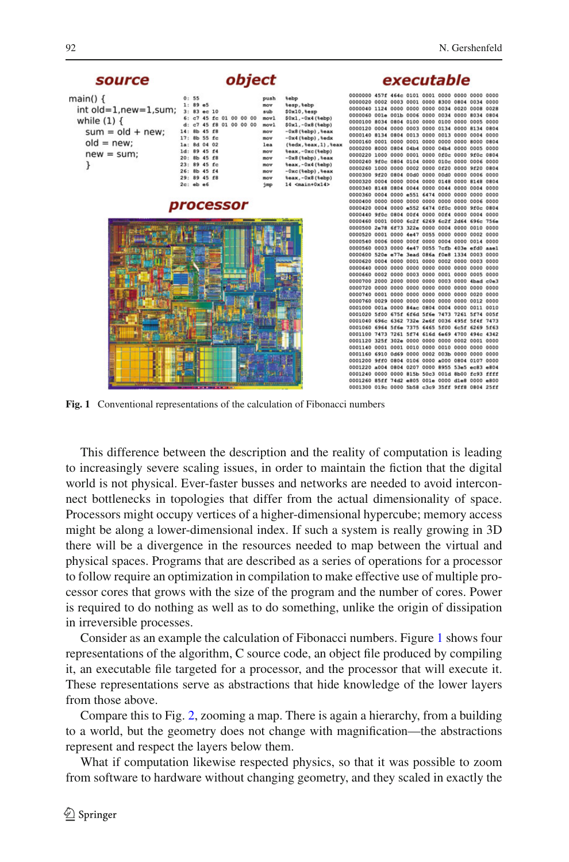

<span id="page-1-0"></span>**Fig. 1** Conventional representations of the calculation of Fibonacci numbers

This difference between the description and the reality of computation is leading to increasingly severe scaling issues, in order to maintain the fiction that the digital world is not physical. Ever-faster busses and networks are needed to avoid interconnect bottlenecks in topologies that differ from the actual dimensionality of space. Processors might occupy vertices of a higher-dimensional hypercube; memory access might be along a lower-dimensional index. If such a system is really growing in 3D there will be a divergence in the resources needed to map between the virtual and physical spaces. Programs that are described as a series of operations for a processor to follow require an optimization in compilation to make effective use of multiple processor cores that grows with the size of the program and the number of cores. Power is required to do nothing as well as to do something, unlike the origin of dissipation in irreversible processes.

Consider as an example the calculation of Fibonacci numbers. Figure [1](#page-1-0) shows four representations of the algorithm, C source code, an object file produced by compiling it, an executable file targeted for a processor, and the processor that will execute it. These representations serve as abstractions that hide knowledge of the lower layers from those above.

Compare this to Fig. [2,](#page-2-0) zooming a map. There is again a hierarchy, from a building to a world, but the geometry does not change with magnification—the abstractions represent and respect the layers below them.

What if computation likewise respected physics, so that it was possible to zoom from software to hardware without changing geometry, and they scaled in exactly the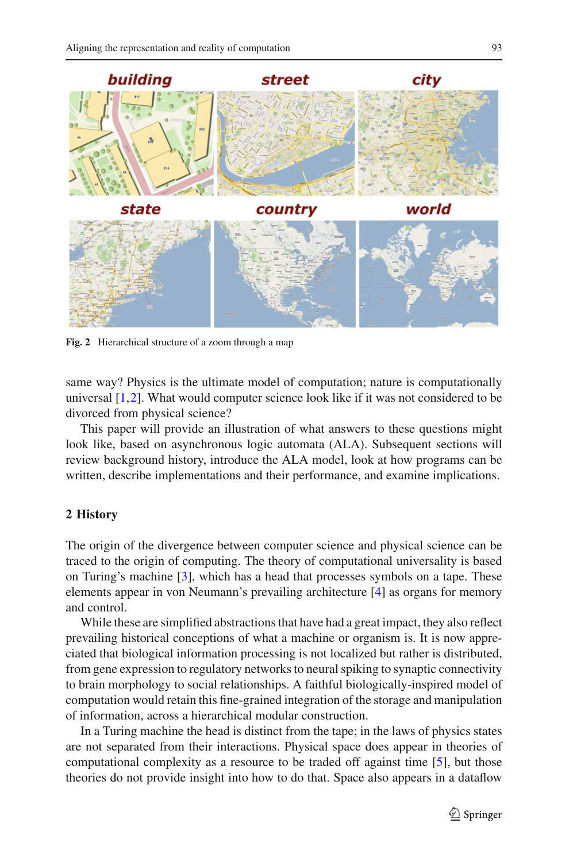

<span id="page-2-0"></span>**Fig. 2** Hierarchical structure of a zoom through a map

same way? Physics is the ultimate model of computation; nature is computationally universal [\[1,](#page-10-0)[2\]](#page-10-1). What would computer science look like if it was not considered to be divorced from physical science?

This paper will provide an illustration of what answers to these questions might look like, based on asynchronous logic automata (ALA). Subsequent sections will review background history, introduce the ALA model, look at how programs can be written, describe implementations and their performance, and examine implications.

### **2 History**

The origin of the divergence between computer science and physical science can be traced to the origin of computing. The theory of computational universality is based on Turing's machine [\[3](#page-11-0)], which has a head that processes symbols on a tape. These elements appear in von Neumann's prevailing architecture [\[4\]](#page-11-1) as organs for memory and control.

While these are simplified abstractions that have had a great impact, they also reflect prevailing historical conceptions of what a machine or organism is. It is now appreciated that biological information processing is not localized but rather is distributed, from gene expression to regulatory networks to neural spiking to synaptic connectivity to brain morphology to social relationships. A faithful biologically-inspired model of computation would retain this fine-grained integration of the storage and manipulation of information, across a hierarchical modular construction.

In a Turing machine the head is distinct from the tape; in the laws of physics states are not separated from their interactions. Physical space does appear in theories of computational complexity as a resource to be traded off against time [\[5](#page-11-2)], but those theories do not provide insight into how to do that. Space also appears in a dataflow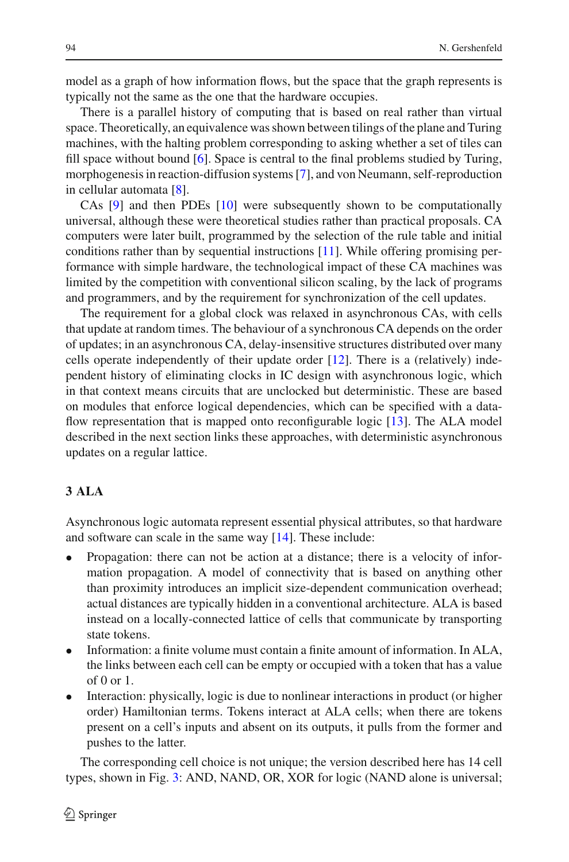model as a graph of how information flows, but the space that the graph represents is typically not the same as the one that the hardware occupies.

There is a parallel history of computing that is based on real rather than virtual space. Theoretically, an equivalence was shown between tilings of the plane and Turing machines, with the halting problem corresponding to asking whether a set of tiles can fill space without bound [\[6](#page-11-3)]. Space is central to the final problems studied by Turing, morphogenesis in reaction-diffusion systems [\[7\]](#page-11-4), and von Neumann, self-reproduction in cellular automata [\[8\]](#page-11-5).

CAs [\[9](#page-11-6)] and then PDEs [\[10](#page-11-7)] were subsequently shown to be computationally universal, although these were theoretical studies rather than practical proposals. CA computers were later built, programmed by the selection of the rule table and initial conditions rather than by sequential instructions [\[11\]](#page-11-8). While offering promising performance with simple hardware, the technological impact of these CA machines was limited by the competition with conventional silicon scaling, by the lack of programs and programmers, and by the requirement for synchronization of the cell updates.

The requirement for a global clock was relaxed in asynchronous CAs, with cells that update at random times. The behaviour of a synchronous CA depends on the order of updates; in an asynchronous CA, delay-insensitive structures distributed over many cells operate independently of their update order [\[12](#page-11-9)]. There is a (relatively) independent history of eliminating clocks in IC design with asynchronous logic, which in that context means circuits that are unclocked but deterministic. These are based on modules that enforce logical dependencies, which can be specified with a dataflow representation that is mapped onto reconfigurable logic [\[13\]](#page-11-10). The ALA model described in the next section links these approaches, with deterministic asynchronous updates on a regular lattice.

#### **3 ALA**

Asynchronous logic automata represent essential physical attributes, so that hardware and software can scale in the same way [\[14](#page-11-11)]. These include:

- Propagation: there can not be action at a distance; there is a velocity of information propagation. A model of connectivity that is based on anything other than proximity introduces an implicit size-dependent communication overhead; actual distances are typically hidden in a conventional architecture. ALA is based instead on a locally-connected lattice of cells that communicate by transporting state tokens.
- Information: a finite volume must contain a finite amount of information. In ALA, the links between each cell can be empty or occupied with a token that has a value of 0 or 1.
- Interaction: physically, logic is due to nonlinear interactions in product (or higher order) Hamiltonian terms. Tokens interact at ALA cells; when there are tokens present on a cell's inputs and absent on its outputs, it pulls from the former and pushes to the latter.

The corresponding cell choice is not unique; the version described here has 14 cell types, shown in Fig. [3:](#page-4-0) AND, NAND, OR, XOR for logic (NAND alone is universal;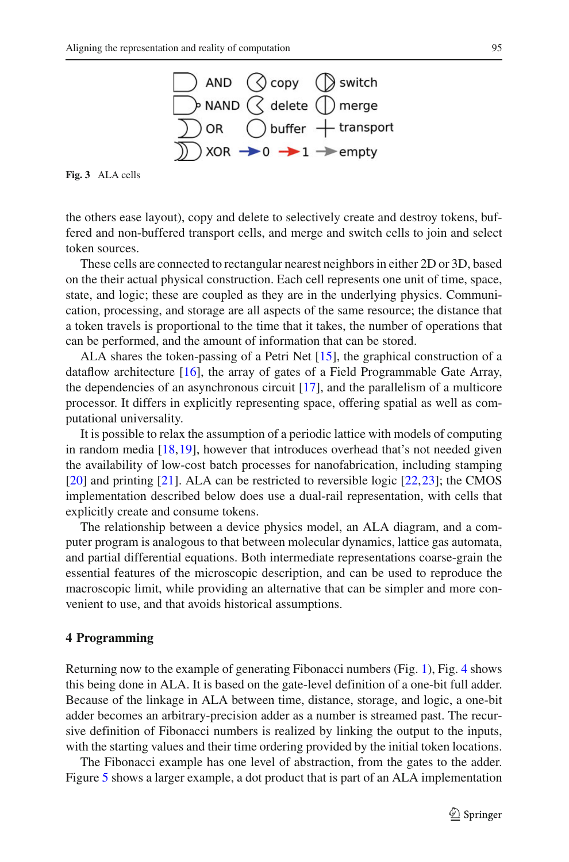

<span id="page-4-0"></span>**Fig. 3** ALA cells

the others ease layout), copy and delete to selectively create and destroy tokens, buffered and non-buffered transport cells, and merge and switch cells to join and select token sources.

These cells are connected to rectangular nearest neighbors in either 2D or 3D, based on the their actual physical construction. Each cell represents one unit of time, space, state, and logic; these are coupled as they are in the underlying physics. Communication, processing, and storage are all aspects of the same resource; the distance that a token travels is proportional to the time that it takes, the number of operations that can be performed, and the amount of information that can be stored.

ALA shares the token-passing of a Petri Net  $[15]$ , the graphical construction of a dataflow architecture [\[16\]](#page-11-13), the array of gates of a Field Programmable Gate Array, the dependencies of an asynchronous circuit [\[17](#page-11-14)], and the parallelism of a multicore processor. It differs in explicitly representing space, offering spatial as well as computational universality.

It is possible to relax the assumption of a periodic lattice with models of computing in random media [\[18](#page-11-15),[19](#page-11-16)], however that introduces overhead that's not needed given the availability of low-cost batch processes for nanofabrication, including stamping [\[20](#page-11-17)] and printing [\[21\]](#page-11-18). ALA can be restricted to reversible logic [\[22](#page-11-19)[,23](#page-11-20)]; the CMOS implementation described below does use a dual-rail representation, with cells that explicitly create and consume tokens.

The relationship between a device physics model, an ALA diagram, and a computer program is analogous to that between molecular dynamics, lattice gas automata, and partial differential equations. Both intermediate representations coarse-grain the essential features of the microscopic description, and can be used to reproduce the macroscopic limit, while providing an alternative that can be simpler and more convenient to use, and that avoids historical assumptions.

#### <span id="page-4-1"></span>**4 Programming**

Returning now to the example of generating Fibonacci numbers (Fig. [1\)](#page-1-0), Fig. [4](#page-5-0) shows this being done in ALA. It is based on the gate-level definition of a one-bit full adder. Because of the linkage in ALA between time, distance, storage, and logic, a one-bit adder becomes an arbitrary-precision adder as a number is streamed past. The recursive definition of Fibonacci numbers is realized by linking the output to the inputs, with the starting values and their time ordering provided by the initial token locations.

The Fibonacci example has one level of abstraction, from the gates to the adder. Figure [5](#page-5-1) shows a larger example, a dot product that is part of an ALA implementation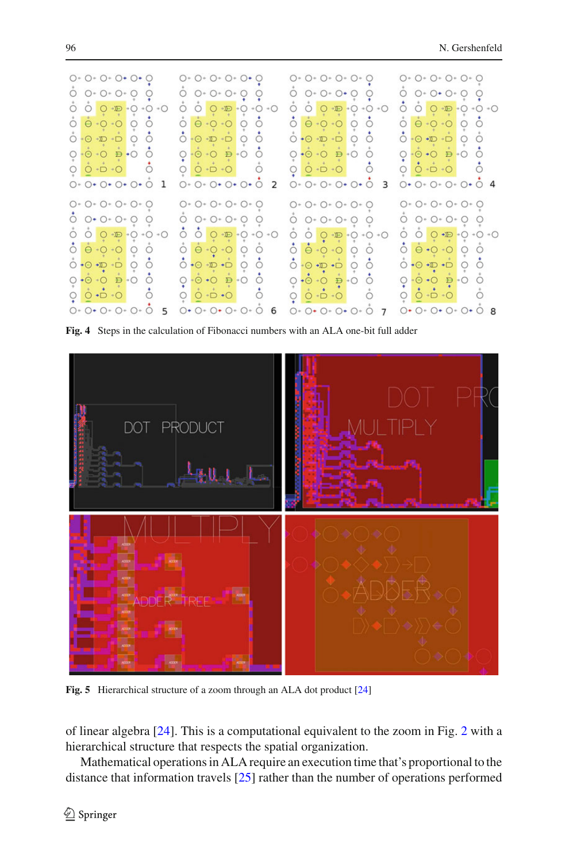

**Fig. 4** Steps in the calculation of Fibonacci numbers with an ALA one-bit full adder

<span id="page-5-0"></span>

<span id="page-5-1"></span>**Fig. 5** Hierarchical structure of a zoom through an ALA dot product [\[24](#page-11-21)]

of linear algebra [\[24](#page-11-21)]. This is a computational equivalent to the zoom in Fig. [2](#page-2-0) with a hierarchical structure that respects the spatial organization.

Mathematical operations in ALA require an execution time that's proportional to the distance that information travels [\[25](#page-11-22)] rather than the number of operations performed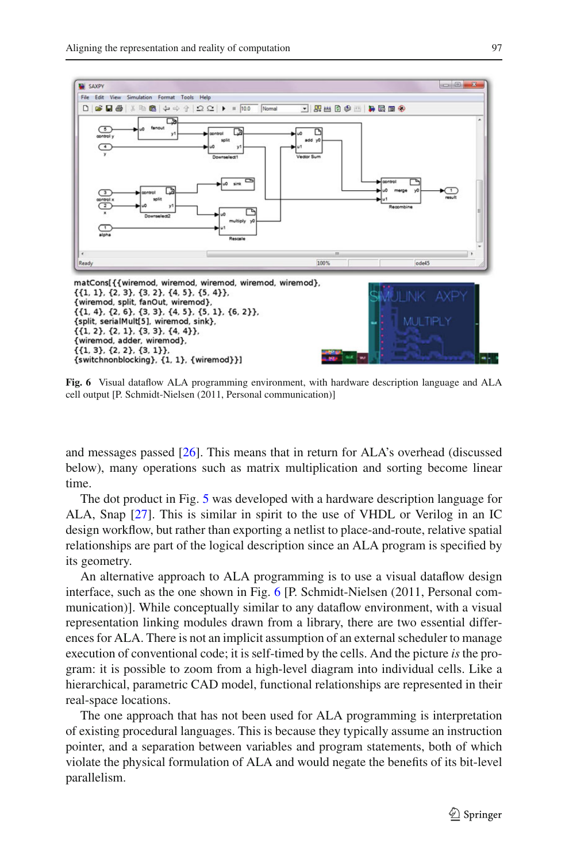

<span id="page-6-0"></span>**Fig. 6** Visual dataflow ALA programming environment, with hardware description language and ALA cell output [P. Schmidt-Nielsen (2011, Personal communication)]

and messages passed [\[26](#page-11-23)]. This means that in return for ALA's overhead (discussed below), many operations such as matrix multiplication and sorting become linear time.

The dot product in Fig. [5](#page-5-1) was developed with a hardware description language for ALA, Snap [\[27](#page-11-24)]. This is similar in spirit to the use of VHDL or Verilog in an IC design workflow, but rather than exporting a netlist to place-and-route, relative spatial relationships are part of the logical description since an ALA program is specified by its geometry.

An alternative approach to ALA programming is to use a visual dataflow design interface, such as the one shown in Fig. [6](#page-6-0) [P. Schmidt-Nielsen (2011, Personal communication)]. While conceptually similar to any dataflow environment, with a visual representation linking modules drawn from a library, there are two essential differences for ALA. There is not an implicit assumption of an external scheduler to manage execution of conventional code; it is self-timed by the cells. And the picture *is* the program: it is possible to zoom from a high-level diagram into individual cells. Like a hierarchical, parametric CAD model, functional relationships are represented in their real-space locations.

The one approach that has not been used for ALA programming is interpretation of existing procedural languages. This is because they typically assume an instruction pointer, and a separation between variables and program statements, both of which violate the physical formulation of ALA and would negate the benefits of its bit-level parallelism.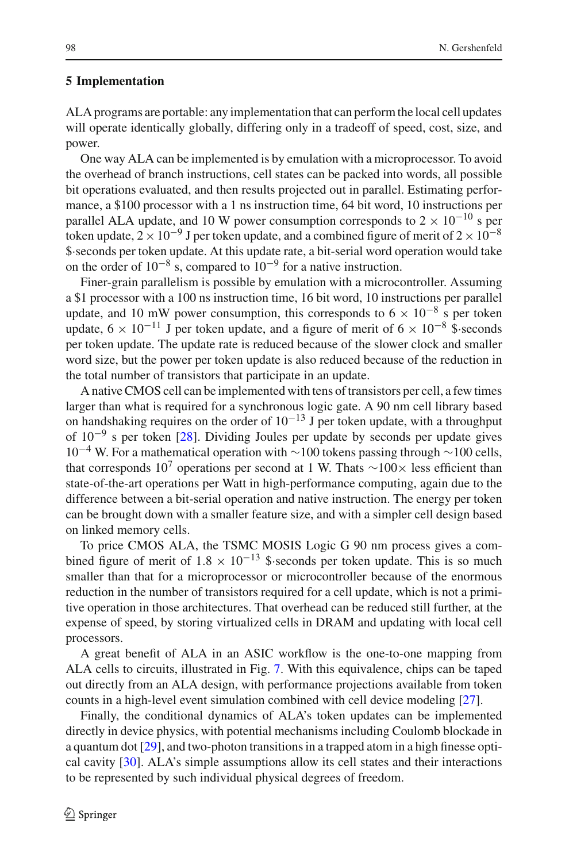#### <span id="page-7-0"></span>**5 Implementation**

ALA programs are portable: any implementation that can perform the local cell updates will operate identically globally, differing only in a tradeoff of speed, cost, size, and power.

One way ALA can be implemented is by emulation with a microprocessor. To avoid the overhead of branch instructions, cell states can be packed into words, all possible bit operations evaluated, and then results projected out in parallel. Estimating performance, a \$100 processor with a 1 ns instruction time, 64 bit word, 10 instructions per parallel ALA update, and 10 W power consumption corresponds to  $2 \times 10^{-10}$  s per token update,  $2 \times 10^{-9}$  J per token update, and a combined figure of merit of  $2 \times 10^{-8}$ \$·seconds per token update. At this update rate, a bit-serial word operation would take on the order of  $10^{-8}$  s, compared to  $10^{-9}$  for a native instruction.

Finer-grain parallelism is possible by emulation with a microcontroller. Assuming a \$1 processor with a 100 ns instruction time, 16 bit word, 10 instructions per parallel update, and 10 mW power consumption, this corresponds to  $6 \times 10^{-8}$  s per token update,  $6 \times 10^{-11}$  J per token update, and a figure of merit of  $6 \times 10^{-8}$  \$⋅seconds per token update. The update rate is reduced because of the slower clock and smaller word size, but the power per token update is also reduced because of the reduction in the total number of transistors that participate in an update.

A native CMOS cell can be implemented with tens of transistors per cell, a few times larger than what is required for a synchronous logic gate. A 90 nm cell library based on handshaking requires on the order of  $10^{-13}$  J per token update, with a throughput of  $10^{-9}$  s per token [\[28](#page-11-25)]. Dividing Joules per update by seconds per update gives  $10^{-4}$  W. For a mathematical operation with ~100 tokens passing through ~100 cells, that corresponds 10<sup>7</sup> operations per second at 1 W. Thats ∼100× less efficient than state-of-the-art operations per Watt in high-performance computing, again due to the difference between a bit-serial operation and native instruction. The energy per token can be brought down with a smaller feature size, and with a simpler cell design based on linked memory cells.

To price CMOS ALA, the TSMC MOSIS Logic G 90 nm process gives a combined figure of merit of  $1.8 \times 10^{-13}$  \$·seconds per token update. This is so much smaller than that for a microprocessor or microcontroller because of the enormous reduction in the number of transistors required for a cell update, which is not a primitive operation in those architectures. That overhead can be reduced still further, at the expense of speed, by storing virtualized cells in DRAM and updating with local cell processors.

A great benefit of ALA in an ASIC workflow is the one-to-one mapping from ALA cells to circuits, illustrated in Fig. [7.](#page-8-0) With this equivalence, chips can be taped out directly from an ALA design, with performance projections available from token counts in a high-level event simulation combined with cell device modeling [\[27\]](#page-11-24).

Finally, the conditional dynamics of ALA's token updates can be implemented directly in device physics, with potential mechanisms including Coulomb blockade in a quantum dot [\[29](#page-11-26)], and two-photon transitions in a trapped atom in a high finesse optical cavity [\[30](#page-11-27)]. ALA's simple assumptions allow its cell states and their interactions to be represented by such individual physical degrees of freedom.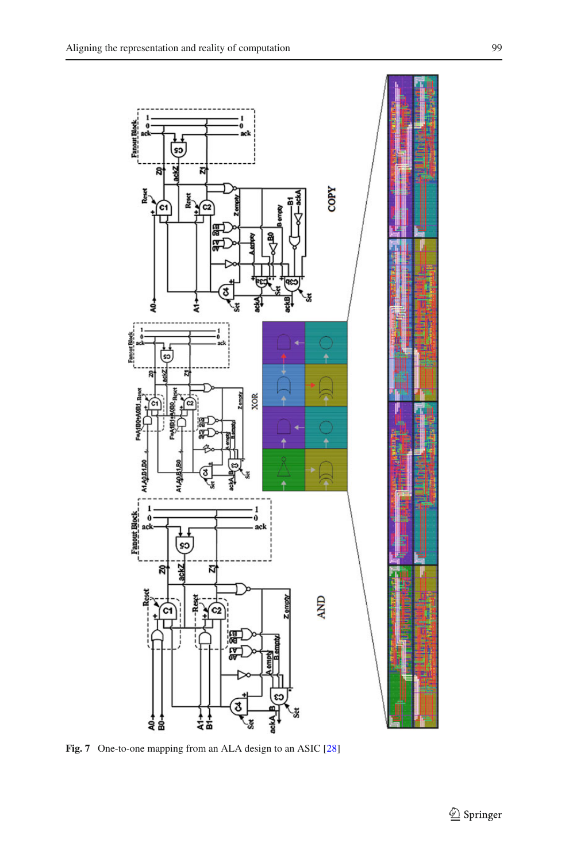

<span id="page-8-0"></span>**Fig. 7** One-to-one mapping from an ALA design to an ASIC [\[28](#page-11-25)]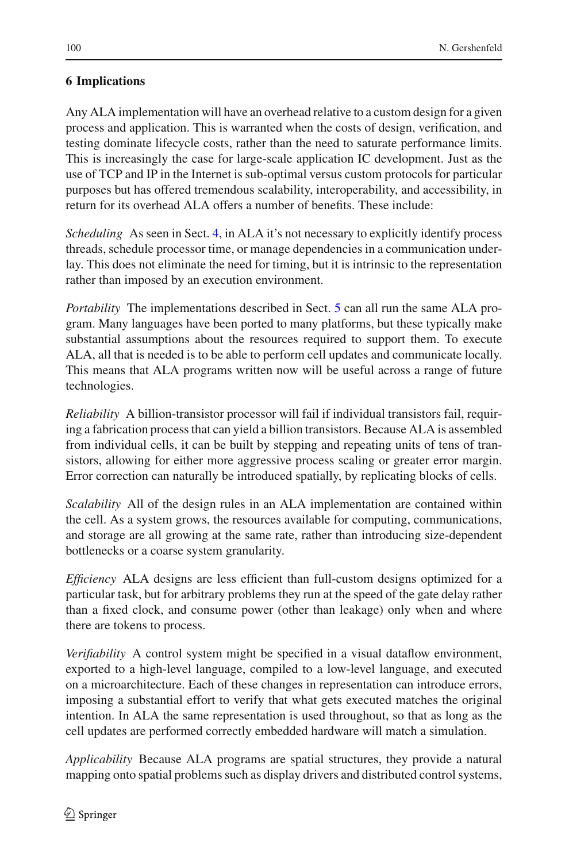# **6 Implications**

Any ALA implementation will have an overhead relative to a custom design for a given process and application. This is warranted when the costs of design, verification, and testing dominate lifecycle costs, rather than the need to saturate performance limits. This is increasingly the case for large-scale application IC development. Just as the use of TCP and IP in the Internet is sub-optimal versus custom protocols for particular purposes but has offered tremendous scalability, interoperability, and accessibility, in return for its overhead ALA offers a number of benefits. These include:

*Scheduling* As seen in Sect. [4,](#page-4-1) in ALA it's not necessary to explicitly identify process threads, schedule processor time, or manage dependencies in a communication underlay. This does not eliminate the need for timing, but it is intrinsic to the representation rather than imposed by an execution environment.

*Portability* The implementations described in Sect. [5](#page-7-0) can all run the same ALA program. Many languages have been ported to many platforms, but these typically make substantial assumptions about the resources required to support them. To execute ALA, all that is needed is to be able to perform cell updates and communicate locally. This means that ALA programs written now will be useful across a range of future technologies.

*Reliability* A billion-transistor processor will fail if individual transistors fail, requiring a fabrication process that can yield a billion transistors. Because ALA is assembled from individual cells, it can be built by stepping and repeating units of tens of transistors, allowing for either more aggressive process scaling or greater error margin. Error correction can naturally be introduced spatially, by replicating blocks of cells.

*Scalability* All of the design rules in an ALA implementation are contained within the cell. As a system grows, the resources available for computing, communications, and storage are all growing at the same rate, rather than introducing size-dependent bottlenecks or a coarse system granularity.

*Efficiency* ALA designs are less efficient than full-custom designs optimized for a particular task, but for arbitrary problems they run at the speed of the gate delay rather than a fixed clock, and consume power (other than leakage) only when and where there are tokens to process.

*Verifiability* A control system might be specified in a visual dataflow environment, exported to a high-level language, compiled to a low-level language, and executed on a microarchitecture. Each of these changes in representation can introduce errors, imposing a substantial effort to verify that what gets executed matches the original intention. In ALA the same representation is used throughout, so that as long as the cell updates are performed correctly embedded hardware will match a simulation.

*Applicability* Because ALA programs are spatial structures, they provide a natural mapping onto spatial problems such as display drivers and distributed control systems,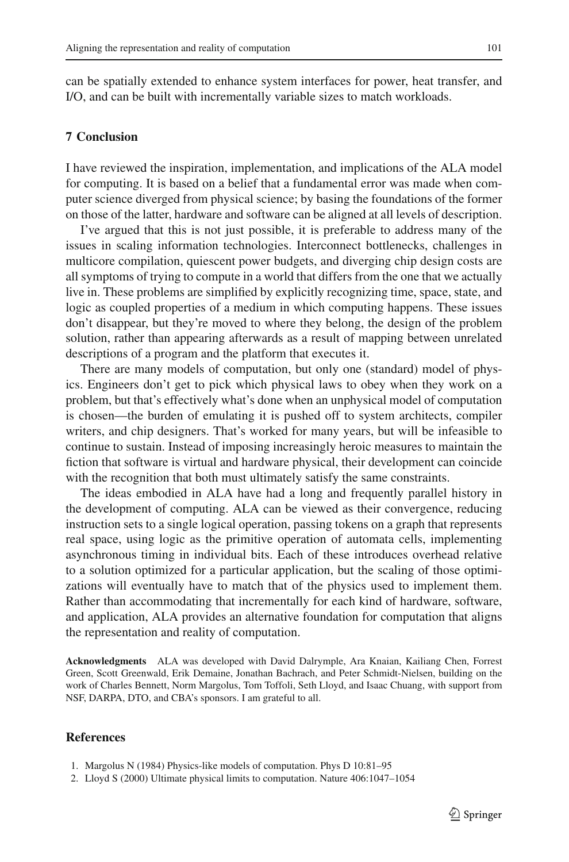can be spatially extended to enhance system interfaces for power, heat transfer, and I/O, and can be built with incrementally variable sizes to match workloads.

#### **7 Conclusion**

I have reviewed the inspiration, implementation, and implications of the ALA model for computing. It is based on a belief that a fundamental error was made when computer science diverged from physical science; by basing the foundations of the former on those of the latter, hardware and software can be aligned at all levels of description.

I've argued that this is not just possible, it is preferable to address many of the issues in scaling information technologies. Interconnect bottlenecks, challenges in multicore compilation, quiescent power budgets, and diverging chip design costs are all symptoms of trying to compute in a world that differs from the one that we actually live in. These problems are simplified by explicitly recognizing time, space, state, and logic as coupled properties of a medium in which computing happens. These issues don't disappear, but they're moved to where they belong, the design of the problem solution, rather than appearing afterwards as a result of mapping between unrelated descriptions of a program and the platform that executes it.

There are many models of computation, but only one (standard) model of physics. Engineers don't get to pick which physical laws to obey when they work on a problem, but that's effectively what's done when an unphysical model of computation is chosen—the burden of emulating it is pushed off to system architects, compiler writers, and chip designers. That's worked for many years, but will be infeasible to continue to sustain. Instead of imposing increasingly heroic measures to maintain the fiction that software is virtual and hardware physical, their development can coincide with the recognition that both must ultimately satisfy the same constraints.

The ideas embodied in ALA have had a long and frequently parallel history in the development of computing. ALA can be viewed as their convergence, reducing instruction sets to a single logical operation, passing tokens on a graph that represents real space, using logic as the primitive operation of automata cells, implementing asynchronous timing in individual bits. Each of these introduces overhead relative to a solution optimized for a particular application, but the scaling of those optimizations will eventually have to match that of the physics used to implement them. Rather than accommodating that incrementally for each kind of hardware, software, and application, ALA provides an alternative foundation for computation that aligns the representation and reality of computation.

**Acknowledgments** ALA was developed with David Dalrymple, Ara Knaian, Kailiang Chen, Forrest Green, Scott Greenwald, Erik Demaine, Jonathan Bachrach, and Peter Schmidt-Nielsen, building on the work of Charles Bennett, Norm Margolus, Tom Toffoli, Seth Lloyd, and Isaac Chuang, with support from NSF, DARPA, DTO, and CBA's sponsors. I am grateful to all.

#### **References**

- <span id="page-10-0"></span>1. Margolus N (1984) Physics-like models of computation. Phys D 10:81–95
- <span id="page-10-1"></span>2. Lloyd S (2000) Ultimate physical limits to computation. Nature 406:1047–1054